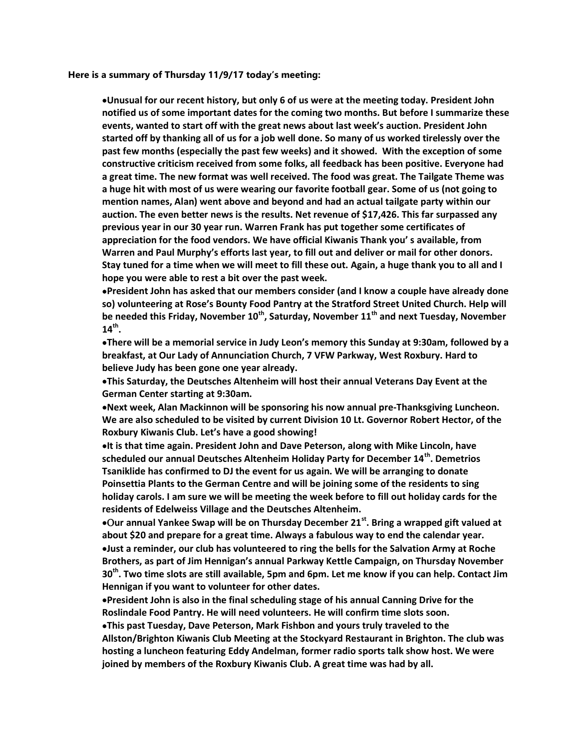Here is a summary of Thursday 11/9/17 today's meeting:

Unusual for our recent history, but only 6 of us were at the meeting today. President John notified us of some important dates for the coming two months. But before I summarize these events, wanted to start off with the great news about last week's auction. President John started off by thanking all of us for a job well done. So many of us worked tirelessly over the past few months (especially the past few weeks) and it showed. With the exception of some constructive criticism received from some folks, all feedback has been positive. Everyone had a great time. The new format was well received. The food was great. The Tailgate Theme was a huge hit with most of us were wearing our favorite football gear. Some of us (not going to mention names, Alan) went above and beyond and had an actual tailgate party within our auction. The even better news is the results. Net revenue of \$17,426. This far surpassed any previous year in our 30 year run. Warren Frank has put together some certificates of appreciation for the food vendors. We have official Kiwanis Thank you' s available, from Warren and Paul Murphy's efforts last year, to fill out and deliver or mail for other donors. Stay tuned for a time when we will meet to fill these out. Again, a huge thank you to all and I hope you were able to rest a bit over the past week.

President John has asked that our members consider (and I know a couple have already done so) volunteering at Rose's Bounty Food Pantry at the Stratford Street United Church. Help will be needed this Friday, November  $10^{th}$ , Saturday, November  $11^{th}$  and next Tuesday, November  $14^{\text{th}}$ .

There will be a memorial service in Judy Leon's memory this Sunday at 9:30am, followed by a breakfast, at Our Lady of Annunciation Church, 7 VFW Parkway, West Roxbury. Hard to believe Judy has been gone one year already.

This Saturday, the Deutsches Altenheim will host their annual Veterans Day Event at the German Center starting at 9:30am.

Next week, Alan Mackinnon will be sponsoring his now annual pre-Thanksgiving Luncheon. We are also scheduled to be visited by current Division 10 Lt. Governor Robert Hector, of the Roxbury Kiwanis Club. Let's have a good showing!

It is that time again. President John and Dave Peterson, along with Mike Lincoln, have scheduled our annual Deutsches Altenheim Holiday Party for December 14<sup>th</sup>. Demetrios Tsaniklide has confirmed to DJ the event for us again. We will be arranging to donate Poinsettia Plants to the German Centre and will be joining some of the residents to sing holiday carols. I am sure we will be meeting the week before to fill out holiday cards for the residents of Edelweiss Village and the Deutsches Altenheim.

•Our annual Yankee Swap will be on Thursday December 21<sup>st</sup>. Bring a wrapped gift valued at about \$20 and prepare for a great time. Always a fabulous way to end the calendar year. Iust a reminder, our club has volunteered to ring the bells for the Salvation Army at Roche Brothers, as part of Jim Hennigan's annual Parkway Kettle Campaign, on Thursday November 30<sup>th</sup>. Two time slots are still available, 5pm and 6pm. Let me know if you can help. Contact Jim Hennigan if you want to volunteer for other dates.

President John is also in the final scheduling stage of his annual Canning Drive for the Roslindale Food Pantry. He will need volunteers. He will confirm time slots soon.

This past Tuesday, Dave Peterson, Mark Fishbon and yours truly traveled to the Allston/Brighton Kiwanis Club Meeting at the Stockyard Restaurant in Brighton. The club was hosting a luncheon featuring Eddy Andelman, former radio sports talk show host. We were joined by members of the Roxbury Kiwanis Club. A great time was had by all.